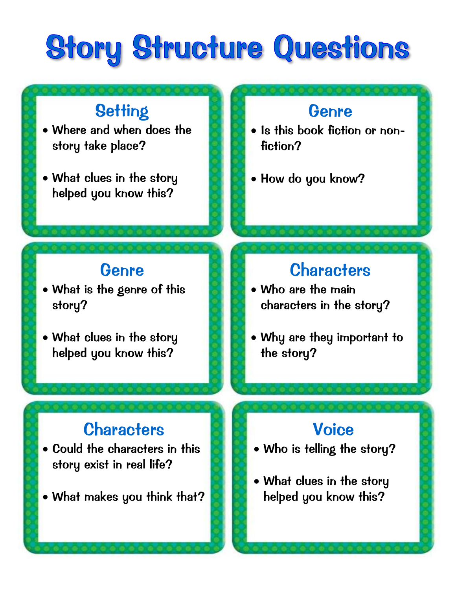# Story Structure Questions

### **Setting**

- Where and when does the story take place?
- What clues in the story helped you know this?

#### Genre

- What is the genre of this story?
- What clues in the story helped you know this?

### **Characters**

- Could the characters in this story exist in real life?
- What makes you think that?

#### Genre

- Is this book fiction or nonfiction?
- How do you know?

### **Characters**

- Who are the main characters in the story?
- Why are they important to the story?

#### **Voice**

- Who is telling the story?
- What clues in the story helped you know this?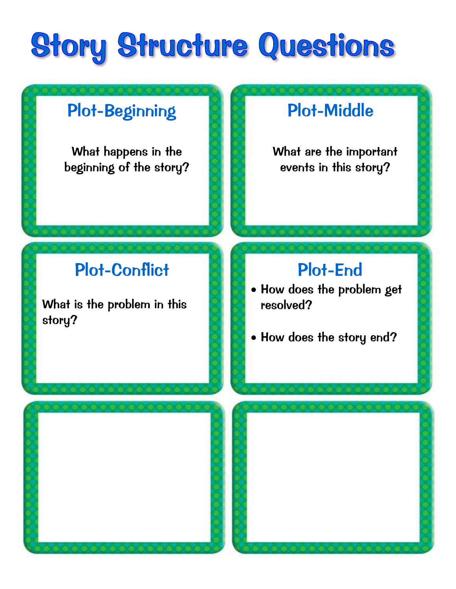# Story Structure Questions

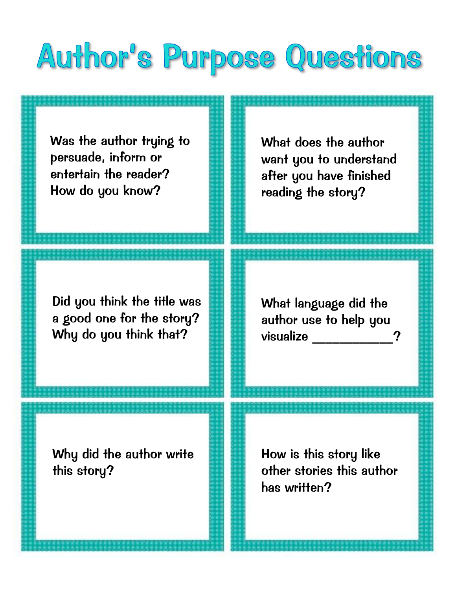## Author's Purpose Questions

Was the author trying to persuade, inform or entertain the reader? How do you know?

What does the author want you to understand after you have finished reading the story?

Did you think the title was a good one for the story? Why do you think that?

What language did the author use to help you visualize \_\_\_\_\_\_\_\_\_\_\_\_?

Why did the author write this story?

How is this story like other stories this author has written?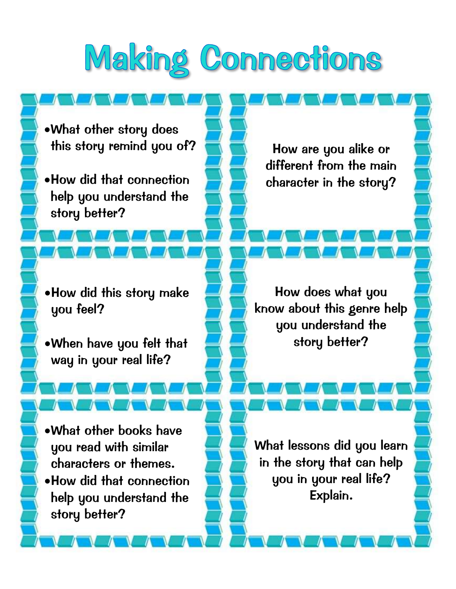# Making Connections

What other story does this story remind you of?

How did that connection help you understand the story better?

How are you alike or different from the main character in the story?

How did this story make you feel?

When have you felt that way in your real life?

What other books have you read with similar characters or themes. How did that connection help you understand the story better?

How does what you know about this genre help you understand the story better?

What lessons did you learn in the story that can help you in your real life? Explain.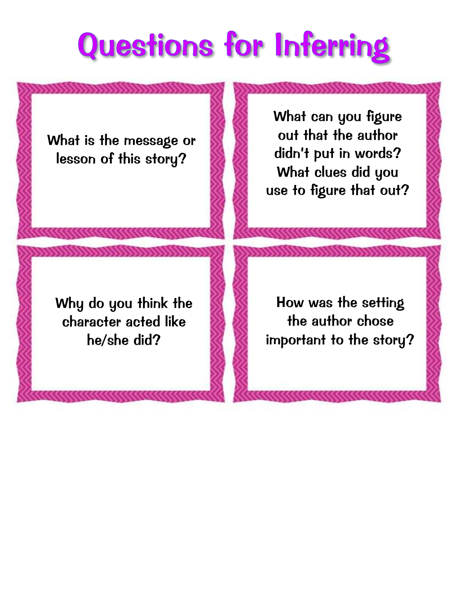# **Questions for Inferring**

What is the message or lesson of this story?

What can you figure out that the author didn't put in words? What clues did you use to figure that out?

Why do you think the character acted like he/she did?

How was the setting the author chose important to the story?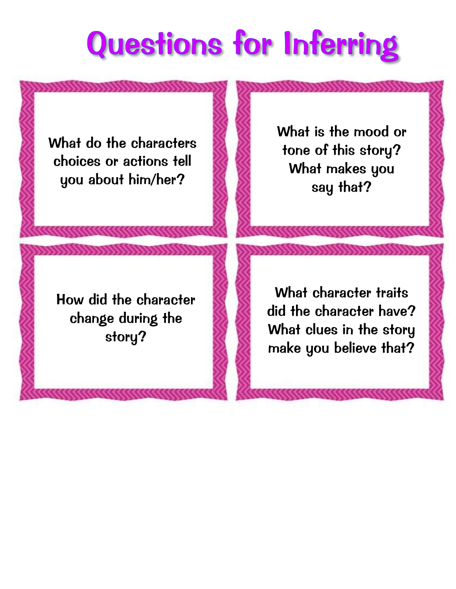# **Questions for Inferring**

What do the characters choices or actions tell you about him/her?

What is the mood or tone of this story? What makes you say that?

How did the character change during the story?

What character traits did the character have? What clues in the story make you believe that?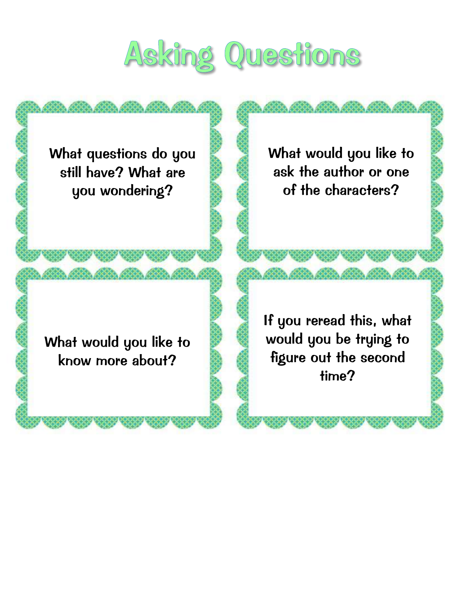# Asking Questions

What questions do you still have? What are you wondering?

What would you like to ask the author or one of the characters?

What would you like to know more about?

If you reread this, what would you be trying to figure out the second time?